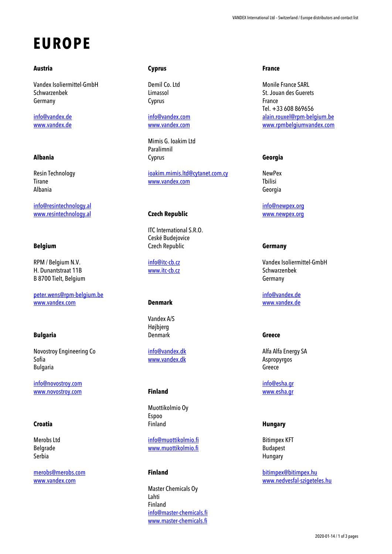# **EUROPE**

### **Austria**

Vandex Isoliermittel-GmbH Schwarzenbek Germany

[info@vandex.de](mailto:info@vandex.de) [www.vandex.de](http://www.vandex.de/)

# **Albania**

Resin Technology Tirane Albania

[info@resintechnology.al](mailto:info@resintechnology.al) [www.resintechnology.al](http://www.resintechnology.al/)

## **Belgium**

RPM / Belgium N.V. H. Dunantstraat 11B B 8700 Tielt, Belgium

[peter.wens@rpm-belgium.be](mailto:peter.wens@rpm-belgium.be) [www.vandex.com](http://www.vandex.com/)

# **Bulgaria**

Novostroy Engineering Co Sofia Bulgaria

[info@novostroy.com](mailto:info@novostroy.com) [www.novostroy.com](http://www.novostroy.com/)

# **Croatia**

Merobs Ltd Belgrade Serbia

[merobs@merobs.com](mailto:merobs@merobs.com) [www.vandex.com](http://www.vandex.com/)

# **Cyprus**

Demil Co. Ltd Limassol Cyprus

[info@vandex.com](mailto:info@vandex.com) [www.vandex.com](http://www.vandex.com/)

Mimis G. Ioakim Ltd Paralimnil Cyprus

[ioakim.mimis.ltd@cytanet.com.cy](mailto:ioakim.mimis.ltd@cytanet.com.cy) [www.vandex.com](http://www.vandex.com/)

# **Czech Republic**

ITC International S.R.O. Ceské Budejovice Czech Republic

[info@itc-cb.cz](mailto:info@itc-cb.cz) [www.itc-cb.cz](http://www.itc-cb.cz/)

#### **Denmark**

Vandex A/S Højbjerg Denmark

[info@vandex.dk](mailto:info@vandex.dk) [www.vandex.dk](http://www.vandex.dk/)

#### **Finland**

Muottikolmio Oy Espoo Finland

[info@muottikolmio.fi](mailto:info@muottikolmio.fi) [www.muottikolmio.fi](http://www.muottikolmio.fi/)

# **Finland**

Master Chemicals Oy Lahti Finland [info@master-chemicals.fi](mailto:info@master-chemicals.fi) [www.master-chemicals.fi](http://www.master-chemicals.fi/)

#### **France**

Monile France SARL St. Jouan des Guerets France Tel. +33 608 869656 [alain.rouxel@rpm-belgium.be](mailto:alain.rouxel@rpm-belgium.be) [www.rpmbelgiumvandex.com](http://www.rpmbelgiumvandex.com/)

## **Georgia**

NewPex Tbilisi Georgia

[info@newpex.org](mailto:info@newpex.org) [www.newpex.org](http://www.newpex.org/)

#### **Germany**

Vandex Isoliermittel-GmbH Schwarzenbek Germany

[info@vandex.de](mailto:info@vandex.de) [www.vandex.de](http://www.vandex.de/)

# **Greece**

Alfa Alfa Energy SA Aspropyrgos Greece

[info@esha.gr](mailto:info@esha.gr) [www.esha.gr](http://www.esha.gr/)

# **Hungary**

Bitimpex KFT Budapest Hungary

[bitimpex@bitimpex.hu](mailto:bitimpex@bitimpex.hu) [www.nedvesfal-szigeteles.hu](http://www.nedvesfal-szigeteles.hu/)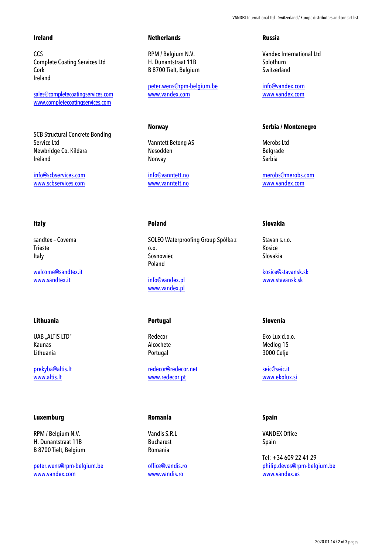## **Ireland**

CCS Complete Coating Services Ltd Cork Ireland

[sales@completecoatingservices.com](mailto:sales@completecoatingservices.com) [www.completecoatingservices.com](http://www.completecoatingservices.com/)

SCB Structural Concrete Bonding Service Ltd Newbridge Co. Kildara Ireland

[info@scbservices.com](mailto:info@scbservices.com) [www.scbservices.com](http://www.scbservices.com/)

## **Italy**

sandtex – Covema Trieste Italy

[welcome@sandtex.it](mailto:welcome@sandtex.it) [www.sandtex.it](http://www.sandtex.it/)

# **Lithuania**

UAB ..ALTIS LTD" Kaunas Lithuania

[prekyba@altis.lt](mailto:prekyba@altis.lt) [www.altis.lt](http://www.altis.lt/)

#### **Luxemburg**

RPM / Belgium N.V. H. Dunantstraat 11B B 8700 Tielt, Belgium

[peter.wens@rpm-belgium.be](mailto:peter.wens@rpm-belgium.be) [www.vandex.com](http://www.vandex.com/)

#### **Netherlands**

RPM / Belgium N.V. H. Dunantstraat 11B B 8700 Tielt, Belgium

[peter.wens@rpm-belgium.be](mailto:peter.wens@rpm-belgium.be) [www.vandex.com](http://www.vandex.com/)

# **Norway**

Vanntett Betong AS Nesodden Norway

[info@vanntett.no](mailto:info@vanntett.no) [www.vanntett.no](http://www.vanntett.no/)

#### **Poland**

SOLEO Waterproofing Group Spółka z o.o. Sosnowiec Poland

[info@vandex.pl](mailto:info@vandex.pl) [www.vandex.pl](http://www.vandex.pl/)

# **Portugal**

Redecor Alcochete Portugal

[redecor@redecor.net](mailto:redecor@redecor.net) [www.redecor.pt](http://www.redecor.pt/)

#### **Romania**

Vandis S.R.L Bucharest Romania

[office@vandis.ro](mailto:office@vandis.ro) [www.vandis.ro](http://www.vandis.ro/)

#### **Russia**

Vandex International Ltd Solothurn Switzerland

[info@vandex.com](mailto:info@vandex.com) [www.vandex.com](http://www.vandex.com/)

## **Serbia / Montenegro**

Merobs Ltd Belgrade Serbia

[merobs@merobs.com](mailto:merobs@merobs.com) [www.vandex.com](http://www.vandex.com/)

#### **Slovakia**

Stavan s.r.o. Kosice Slovakia

[kosice@stavansk.sk](mailto:kosice@stavansk.sk) [www.stavansk.sk](http://www.stavansk.sk/)

# **Slovenia**

Eko Lux d.o.o. Medlog 15 3000 Celje

[seic@seic.it](mailto:seic@seic.it) [www.ekolux.si](http://www.ekolux.si/)

## **Spain**

VANDEX Office Spain

Tel: +34 609 22 41 29 [philip.devos@rpm-belgium.be](mailto:philip.devos@rpm-belgium.be) [www.vandex.es](http://www.vandex.es/)